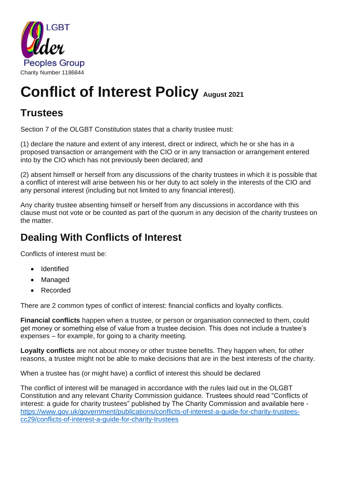

# **Conflict of Interest Policy August 2021**

### **Trustees**

Section 7 of the OLGBT Constitution states that a charity trustee must:

(1) declare the nature and extent of any interest, direct or indirect, which he or she has in a proposed transaction or arrangement with the CIO or in any transaction or arrangement entered into by the CIO which has not previously been declared; and

(2) absent himself or herself from any discussions of the charity trustees in which it is possible that a conflict of interest will arise between his or her duty to act solely in the interests of the CIO and any personal interest (including but not limited to any financial interest).

Any charity trustee absenting himself or herself from any discussions in accordance with this clause must not vote or be counted as part of the quorum in any decision of the charity trustees on the matter.

## **Dealing With Conflicts of Interest**

Conflicts of interest must be:

- Identified
- Managed
- Recorded

There are 2 common types of conflict of interest: financial conflicts and loyalty conflicts.

**Financial conflicts** happen when a trustee, or person or organisation connected to them, could get money or something else of value from a trustee decision. This does not include a trustee's expenses – for example, for going to a charity meeting.

**Loyalty conflicts** are not about money or other trustee benefits. They happen when, for other reasons, a trustee might not be able to make decisions that are in the best interests of the charity.

When a trustee has (or might have) a conflict of interest this should be declared

The conflict of interest will be managed in accordance with the rules laid out in the OLGBT Constitution and any relevant Charity Commission guidance. Trustees should read "Conflicts of interest: a guide for charity trustees" published by The Charity Commission and available here [https://www.gov.uk/government/publications/conflicts-of-interest-a-guide-for-charity-trustees](https://www.gov.uk/government/publications/conflicts-of-interest-a-guide-for-charity-trustees-cc29/conflicts-of-interest-a-guide-for-charity-trustees)[cc29/conflicts-of-interest-a-guide-for-charity-trustees](https://www.gov.uk/government/publications/conflicts-of-interest-a-guide-for-charity-trustees-cc29/conflicts-of-interest-a-guide-for-charity-trustees)